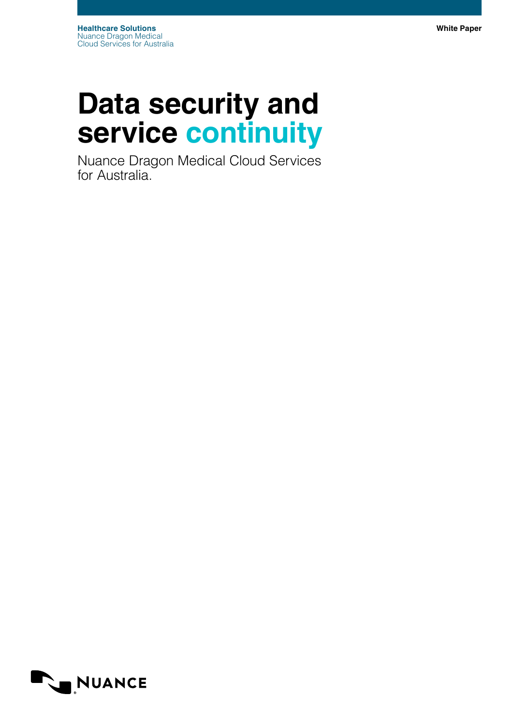# **Data security and service continuity**

Nuance Dragon Medical Cloud Services for Australia.

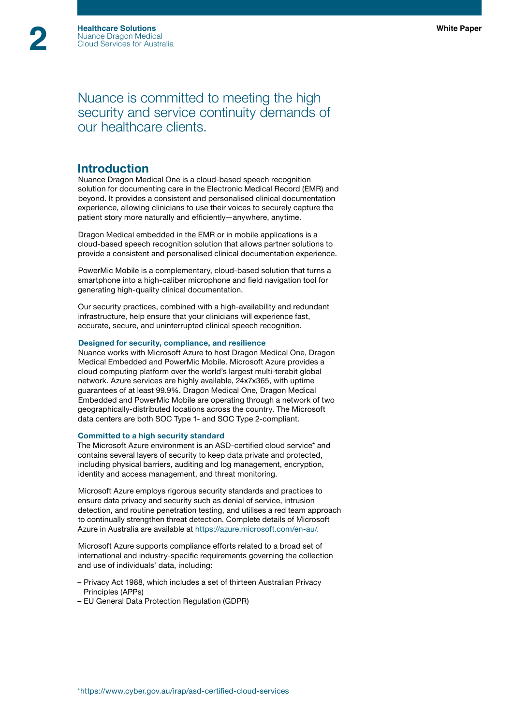Nuance is committed to meeting the high security and service continuity demands of our healthcare clients.

### Introduction

Nuance Dragon Medical One is a cloud-based speech recognition solution for documenting care in the Electronic Medical Record (EMR) and beyond. It provides a consistent and personalised clinical documentation experience, allowing clinicians to use their voices to securely capture the patient story more naturally and efficiently—anywhere, anytime.

Dragon Medical embedded in the EMR or in mobile applications is a cloud-based speech recognition solution that allows partner solutions to provide a consistent and personalised clinical documentation experience.

PowerMic Mobile is a complementary, cloud-based solution that turns a smartphone into a high-caliber microphone and field navigation tool for generating high-quality clinical documentation.

Our security practices, combined with a high-availability and redundant infrastructure, help ensure that your clinicians will experience fast, accurate, secure, and uninterrupted clinical speech recognition.

#### Designed for security, compliance, and resilience

Nuance works with Microsoft Azure to host Dragon Medical One, Dragon Medical Embedded and PowerMic Mobile. Microsoft Azure provides a cloud computing platform over the world's largest multi-terabit global network. Azure services are highly available, 24x7x365, with uptime guarantees of at least 99.9%. Dragon Medical One, Dragon Medical Embedded and PowerMic Mobile are operating through a network of two geographically-distributed locations across the country. The Microsoft data centers are both SOC Type 1- and SOC Type 2-compliant.

#### Committed to a high security standard

The Microsoft Azure environment is an ASD-certified cloud service\* and contains several layers of security to keep data private and protected, including physical barriers, auditing and log management, encryption, identity and access management, and threat monitoring.

Microsoft Azure employs rigorous security standards and practices to ensure data privacy and security such as denial of service, intrusion detection, and routine penetration testing, and utilises a red team approach to continually strengthen threat detection. Complete details of Microsoft Azure in Australia are available at [https://azure.microsoft.com/en-au/.](https://azure.microsoft.com/en-au/)

Microsoft Azure supports compliance efforts related to a broad set of international and industry-specific requirements governing the collection and use of individuals' data, including:

- Privacy Act 1988, which includes a set of thirteen Australian Privacy Principles (APPs)
- EU General Data Protection Regulation (GDPR)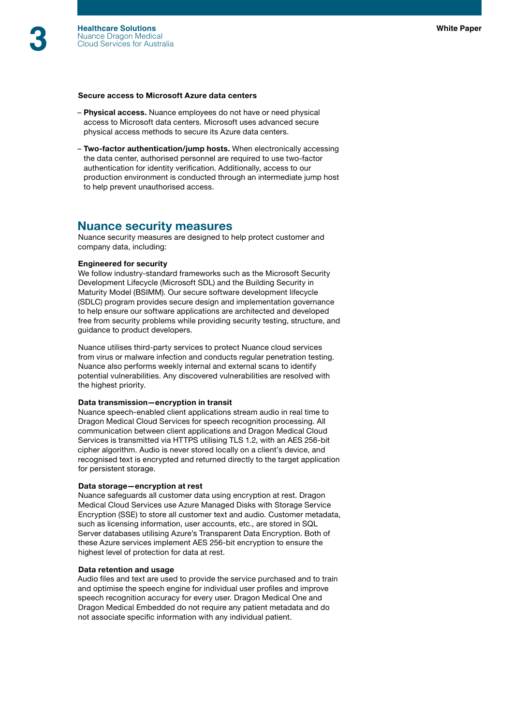#### Secure access to Microsoft Azure data centers

- Physical access. Nuance employees do not have or need physical access to Microsoft data centers. Microsoft uses advanced secure physical access methods to secure its Azure data centers.
- Two-factor authentication/jump hosts. When electronically accessing the data center, authorised personnel are required to use two-factor authentication for identity verification. Additionally, access to our production environment is conducted through an intermediate jump host to help prevent unauthorised access.

# Nuance security measures

Nuance security measures are designed to help protect customer and company data, including:

#### Engineered for security

We follow industry-standard frameworks such as the Microsoft Security Development Lifecycle (Microsoft SDL) and the Building Security in Maturity Model (BSIMM). Our secure software development lifecycle (SDLC) program provides secure design and implementation governance to help ensure our software applications are architected and developed free from security problems while providing security testing, structure, and guidance to product developers.

Nuance utilises third-party services to protect Nuance cloud services from virus or malware infection and conducts regular penetration testing. Nuance also performs weekly internal and external scans to identify potential vulnerabilities. Any discovered vulnerabilities are resolved with the highest priority.

#### Data transmission—encryption in transit

Nuance speech-enabled client applications stream audio in real time to Dragon Medical Cloud Services for speech recognition processing. All communication between client applications and Dragon Medical Cloud Services is transmitted via HTTPS utilising TLS 1.2, with an AES 256-bit cipher algorithm. Audio is never stored locally on a client's device, and recognised text is encrypted and returned directly to the target application for persistent storage.

#### Data storage—encryption at rest

Nuance safeguards all customer data using encryption at rest. Dragon Medical Cloud Services use Azure Managed Disks with Storage Service Encryption (SSE) to store all customer text and audio. Customer metadata, such as licensing information, user accounts, etc., are stored in SQL Server databases utilising Azure's Transparent Data Encryption. Both of these Azure services implement AES 256-bit encryption to ensure the highest level of protection for data at rest.

#### Data retention and usage

Audio files and text are used to provide the service purchased and to train and optimise the speech engine for individual user profiles and improve speech recognition accuracy for every user. Dragon Medical One and Dragon Medical Embedded do not require any patient metadata and do not associate specific information with any individual patient.